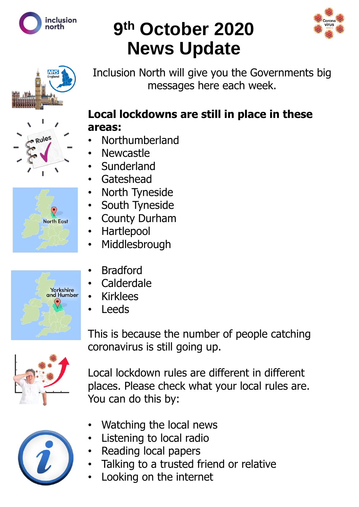

# **9 th October 2020 News Update**





Rules



## **Local lockdowns are still in place in these areas:**

Inclusion North will give you the Governments big

messages here each week.

- Northumberland
- **Newcastle**
- **Sunderland**
- **Gateshead**
- North Tyneside
- South Tyneside
- **County Durham**
- Hartlepool
- **Middlesbrough**
- **Bradford**
- **Calderdale**
- **Kirklees**
- **Leeds**

coronavirus is still going up. Local lockdown rules are different in different places. Please check what your local rules are.

This is because the number of people catching



- Watching the local news
- Listening to local radio
- Reading local papers

You can do this by:

- Talking to a trusted friend or relative
- Looking on the internet